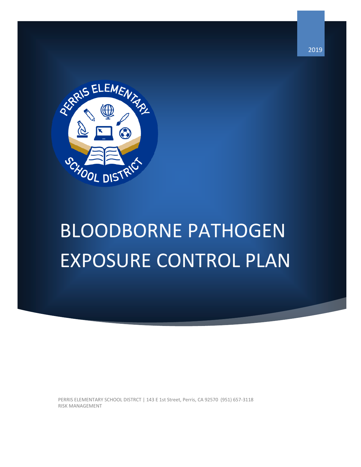

# BLOODBORNE PATHOGEN EXPOSURE CONTROL PLAN

PERRIS ELEMENTARY SCHOOL DISTRCT | 143 E 1st Street, Perris, CA 92570 (951) 657-3118 RISK MANAGEMENT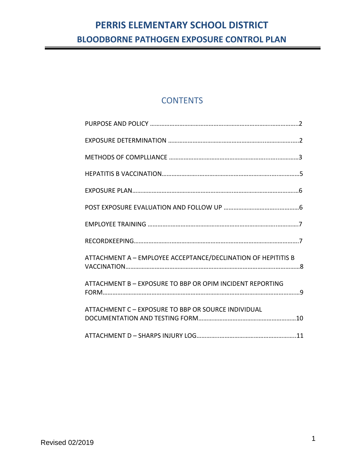## **CONTENTS**

| ATTACHMENT A - EMPLOYEE ACCEPTANCE/DECLINATION OF HEPITITIS B |
|---------------------------------------------------------------|
| ATTACHMENT B - EXPOSURE TO BBP OR OPIM INCIDENT REPORTING     |
| ATTACHMENT C - EXPOSURE TO BBP OR SOURCE INDIVIDUAL           |
|                                                               |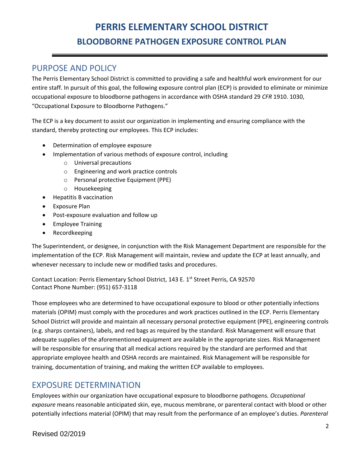#### PURPOSE AND POLICY

The Perris Elementary School District is committed to providing a safe and healthful work environment for our entire staff. In pursuit of this goal, the following exposure control plan (ECP) is provided to eliminate or minimize occupational exposure to bloodborne pathogens in accordance with OSHA standard 29 *CFR* 1910. 1030, "Occupational Exposure to Bloodborne Pathogens."

The ECP is a key document to assist our organization in implementing and ensuring compliance with the standard, thereby protecting our employees. This ECP includes:

- Determination of employee exposure
	- Implementation of various methods of exposure control, including
		- o Universal precautions
		- o Engineering and work practice controls
		- o Personal protective Equipment (PPE)
		- o Housekeeping
- Hepatitis B vaccination
- Exposure Plan
- Post-exposure evaluation and follow up
- Employee Training
- Recordkeeping

The Superintendent, or designee, in conjunction with the Risk Management Department are responsible for the implementation of the ECP. Risk Management will maintain, review and update the ECP at least annually, and whenever necessary to include new or modified tasks and procedures.

Contact Location: Perris Elementary School District, 143 E. 1st Street Perris, CA 92570 Contact Phone Number: (951) 657-3118

Those employees who are determined to have occupational exposure to blood or other potentially infections materials (OPIM) must comply with the procedures and work practices outlined in the ECP. Perris Elementary School District will provide and maintain all necessary personal protective equipment (PPE), engineering controls (e.g. sharps containers), labels, and red bags as required by the standard. Risk Management will ensure that adequate supplies of the aforementioned equipment are available in the appropriate sizes. Risk Management will be responsible for ensuring that all medical actions required by the standard are performed and that appropriate employee health and OSHA records are maintained. Risk Management will be responsible for training, documentation of training, and making the written ECP available to employees.

#### EXPOSURE DETERMINATION

Employees within our organization have occupational exposure to bloodborne pathogens*. Occupational exposure* means reasonable anticipated skin, eye, mucous membrane, or parenteral contact with blood or other potentially infections material (OPIM) that may result from the performance of an employee's duties. *Parenteral*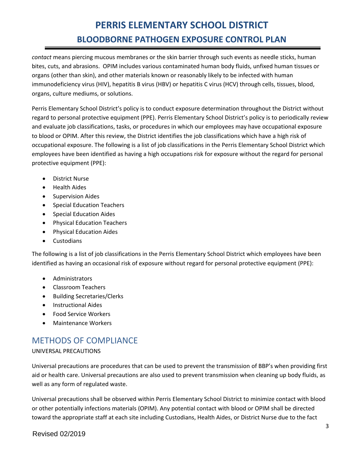*contact* means piercing mucous membranes or the skin barrier through such events as needle sticks, human bites, cuts, and abrasions. OPIM includes various contaminated human body fluids, unfixed human tissues or organs (other than skin), and other materials known or reasonably likely to be infected with human immunodeficiency virus (HIV), hepatitis B virus (HBV) or hepatitis C virus (HCV) through cells, tissues, blood, organs, culture mediums, or solutions.

Perris Elementary School District's policy is to conduct exposure determination throughout the District without regard to personal protective equipment (PPE). Perris Elementary School District's policy is to periodically review and evaluate job classifications, tasks, or procedures in which our employees may have occupational exposure to blood or OPIM. After this review, the District identifies the job classifications which have a high risk of occupational exposure. The following is a list of job classifications in the Perris Elementary School District which employees have been identified as having a high occupations risk for exposure without the regard for personal protective equipment (PPE):

- District Nurse
- Health Aides
- **•** Supervision Aides
- **•** Special Education Teachers
- Special Education Aides
- Physical Education Teachers
- **•** Physical Education Aides
- **•** Custodians

The following is a list of job classifications in the Perris Elementary School District which employees have been identified as having an occasional risk of exposure without regard for personal protective equipment (PPE):

- Administrators
- Classroom Teachers
- Building Secretaries/Clerks
- **•** Instructional Aides
- Food Service Workers
- Maintenance Workers

### METHODS OF COMPLIANCE

#### UNIVERSAL PRECAUTIONS

Universal precautions are procedures that can be used to prevent the transmission of BBP's when providing first aid or health care. Universal precautions are also used to prevent transmission when cleaning up body fluids, as well as any form of regulated waste.

Universal precautions shall be observed within Perris Elementary School District to minimize contact with blood or other potentially infections materials (OPIM). Any potential contact with blood or OPIM shall be directed toward the appropriate staff at each site including Custodians, Health Aides, or District Nurse due to the fact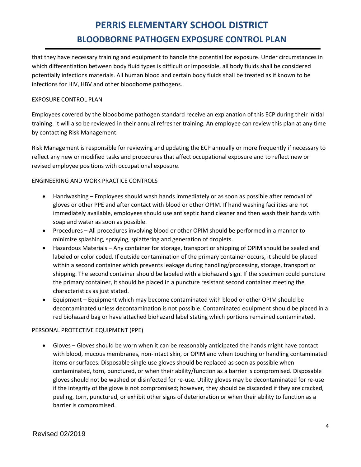that they have necessary training and equipment to handle the potential for exposure. Under circumstances in which differentiation between body fluid types is difficult or impossible, all body fluids shall be considered potentially infections materials. All human blood and certain body fluids shall be treated as if known to be infections for HIV, HBV and other bloodborne pathogens.

#### EXPOSURE CONTROL PLAN

Employees covered by the bloodborne pathogen standard receive an explanation of this ECP during their initial training. It will also be reviewed in their annual refresher training. An employee can review this plan at any time by contacting Risk Management.

Risk Management is responsible for reviewing and updating the ECP annually or more frequently if necessary to reflect any new or modified tasks and procedures that affect occupational exposure and to reflect new or revised employee positions with occupational exposure.

#### ENGINEERING AND WORK PRACTICE CONTROLS

- Handwashing Employees should wash hands immediately or as soon as possible after removal of gloves or other PPE and after contact with blood or other OPIM. If hand washing facilities are not immediately available, employees should use antiseptic hand cleaner and then wash their hands with soap and water as soon as possible.
- Procedures All procedures involving blood or other OPIM should be performed in a manner to minimize splashing, spraying, splattering and generation of droplets.
- Hazardous Materials Any container for storage, transport or shipping of OPIM should be sealed and labeled or color coded. If outside contamination of the primary container occurs, it should be placed within a second container which prevents leakage during handling/processing, storage, transport or shipping. The second container should be labeled with a biohazard sign. If the specimen could puncture the primary container, it should be placed in a puncture resistant second container meeting the characteristics as just stated.
- Equipment Equipment which may become contaminated with blood or other OPIM should be decontaminated unless decontamination is not possible. Contaminated equipment should be placed in a red biohazard bag or have attached biohazard label stating which portions remained contaminated.

#### PERSONAL PROTECTIVE EQUIPMENT (PPE)

 Gloves – Gloves should be worn when it can be reasonably anticipated the hands might have contact with blood, mucous membranes, non-intact skin, or OPIM and when touching or handling contaminated items or surfaces. Disposable single use gloves should be replaced as soon as possible when contaminated, torn, punctured, or when their ability/function as a barrier is compromised. Disposable gloves should not be washed or disinfected for re-use. Utility gloves may be decontaminated for re-use if the integrity of the glove is not compromised; however, they should be discarded if they are cracked, peeling, torn, punctured, or exhibit other signs of deterioration or when their ability to function as a barrier is compromised.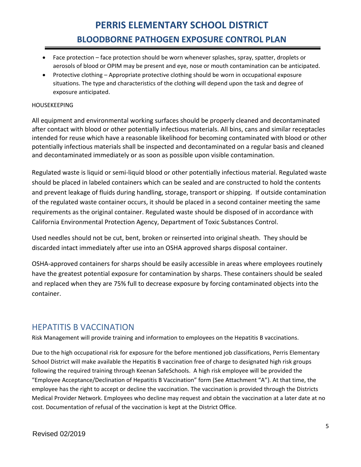- Face protection face protection should be worn whenever splashes, spray, spatter, droplets or aerosols of blood or OPIM may be present and eye, nose or mouth contamination can be anticipated.
- Protective clothing Appropriate protective clothing should be worn in occupational exposure situations. The type and characteristics of the clothing will depend upon the task and degree of exposure anticipated.

#### HOUSEKEEPING

All equipment and environmental working surfaces should be properly cleaned and decontaminated after contact with blood or other potentially infectious materials. All bins, cans and similar receptacles intended for reuse which have a reasonable likelihood for becoming contaminated with blood or other potentially infectious materials shall be inspected and decontaminated on a regular basis and cleaned and decontaminated immediately or as soon as possible upon visible contamination.

Regulated waste is liquid or semi-liquid blood or other potentially infectious material. Regulated waste should be placed in labeled containers which can be sealed and are constructed to hold the contents and prevent leakage of fluids during handling, storage, transport or shipping. If outside contamination of the regulated waste container occurs, it should be placed in a second container meeting the same requirements as the original container. Regulated waste should be disposed of in accordance with California Environmental Protection Agency, Department of Toxic Substances Control.

Used needles should not be cut, bent, broken or reinserted into original sheath. They should be discarded intact immediately after use into an OSHA approved sharps disposal container.

OSHA-approved containers for sharps should be easily accessible in areas where employees routinely have the greatest potential exposure for contamination by sharps. These containers should be sealed and replaced when they are 75% full to decrease exposure by forcing contaminated objects into the container.

#### HEPATITIS B VACCINATION

Risk Management will provide training and information to employees on the Hepatitis B vaccinations.

Due to the high occupational risk for exposure for the before mentioned job classifications, Perris Elementary School District will make available the Hepatitis B vaccination free of charge to designated high risk groups following the required training through Keenan SafeSchools. A high risk employee will be provided the "Employee Acceptance/Declination of Hepatitis B Vaccination" form (See Attachment "A"). At that time, the employee has the right to accept or decline the vaccination. The vaccination is provided through the Districts Medical Provider Network. Employees who decline may request and obtain the vaccination at a later date at no cost. Documentation of refusal of the vaccination is kept at the District Office.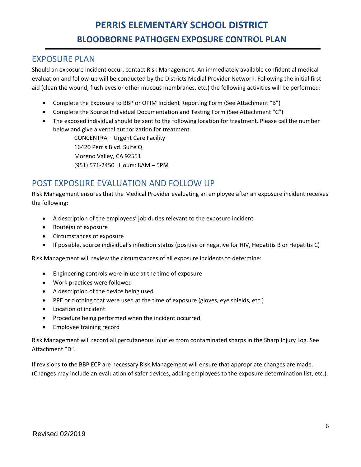## EXPOSURE PLAN

Should an exposure incident occur, contact Risk Management. An immediately available confidential medical evaluation and follow-up will be conducted by the Districts Medial Provider Network. Following the initial first aid (clean the wound, flush eyes or other mucous membranes, etc.) the following activities will be performed:

- Complete the Exposure to BBP or OPIM Incident Reporting Form (See Attachment "B")
- Complete the Source Individual Documentation and Testing Form (See Attachment "C")
- The exposed individual should be sent to the following location for treatment. Please call the number below and give a verbal authorization for treatment.

CONCENTRA – Urgent Care Facility 16420 Perris Blvd. Suite Q Moreno Valley, CA 92551 (951) 571-2450 Hours: 8AM – 5PM

## POST EXPOSURE EVALUATION AND FOLLOW UP

Risk Management ensures that the Medical Provider evaluating an employee after an exposure incident receives the following:

- A description of the employees' job duties relevant to the exposure incident
- Route(s) of exposure
- Circumstances of exposure
- If possible, source individual's infection status (positive or negative for HIV, Hepatitis B or Hepatitis C)

Risk Management will review the circumstances of all exposure incidents to determine:

- Engineering controls were in use at the time of exposure
- Work practices were followed
- A description of the device being used
- PPE or clothing that were used at the time of exposure (gloves, eye shields, etc.)
- Location of incident
- Procedure being performed when the incident occurred
- **•** Employee training record

Risk Management will record all percutaneous injuries from contaminated sharps in the Sharp Injury Log. See Attachment "D".

If revisions to the BBP ECP are necessary Risk Management will ensure that appropriate changes are made. (Changes may include an evaluation of safer devices, adding employees to the exposure determination list, etc.).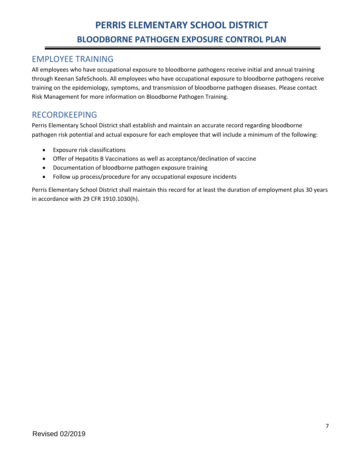### EMPLOYEE TRAINING

All employees who have occupational exposure to bloodborne pathogens receive initial and annual training through Keenan SafeSchools. All employees who have occupational exposure to bloodborne pathogens receive training on the epidemiology, symptoms, and transmission of bloodborne pathogen diseases. Please contact Risk Management for more information on Bloodborne Pathogen Training.

### RECORDKEEPING

Perris Elementary School District shall establish and maintain an accurate record regarding bloodborne pathogen risk potential and actual exposure for each employee that will include a minimum of the following:

- Exposure risk classifications
- Offer of Hepatitis B Vaccinations as well as acceptance/declination of vaccine
- Documentation of bloodborne pathogen exposure training
- Follow up process/procedure for any occupational exposure incidents

Perris Elementary School District shall maintain this record for at least the duration of employment plus 30 years in accordance with 29 CFR 1910.1030(h).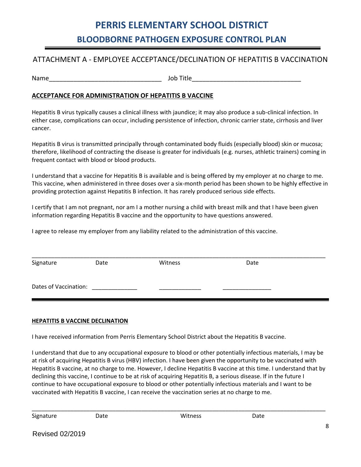#### ATTACHMENT A - EMPLOYEE ACCEPTANCE/DECLINATION OF HEPATITIS B VACCINATION

Name\_\_\_\_\_\_\_\_\_\_\_\_\_\_\_\_\_\_\_\_\_\_\_\_\_\_\_\_\_\_\_\_ Job Title\_\_\_\_\_\_\_\_\_\_\_\_\_\_\_\_\_\_\_\_\_\_\_\_\_\_\_\_\_\_\_

#### **ACCEPTANCE FOR ADMINISTRATION OF HEPATITIS B VACCINE**

Hepatitis B virus typically causes a clinical illness with jaundice; it may also produce a sub-clinical infection. In either case, complications can occur, including persistence of infection, chronic carrier state, cirrhosis and liver cancer.

Hepatitis B virus is transmitted principally through contaminated body fluids (especially blood) skin or mucosa; therefore, likelihood of contracting the disease is greater for individuals (e.g. nurses, athletic trainers) coming in frequent contact with blood or blood products.

I understand that a vaccine for Hepatitis B is available and is being offered by my employer at no charge to me. This vaccine, when administered in three doses over a six-month period has been shown to be highly effective in providing protection against Hepatitis B infection. It has rarely produced serious side effects.

I certify that I am not pregnant, nor am I a mother nursing a child with breast milk and that I have been given information regarding Hepatitis B vaccine and the opportunity to have questions answered.

I agree to release my employer from any liability related to the administration of this vaccine.

| Signature             | Date | Witness | Date |
|-----------------------|------|---------|------|
| Dates of Vaccination: |      |         |      |

#### **HEPATITIS B VACCINE DECLINATION**

I have received information from Perris Elementary School District about the Hepatitis B vaccine.

I understand that due to any occupational exposure to blood or other potentially infectious materials, I may be at risk of acquiring Hepatitis B virus (HBV) infection. I have been given the opportunity to be vaccinated with Hepatitis B vaccine, at no charge to me. However, I decline Hepatitis B vaccine at this time. I understand that by declining this vaccine, I continue to be at risk of acquiring Hepatitis B, a serious disease. If in the future I continue to have occupational exposure to blood or other potentially infectious materials and I want to be vaccinated with Hepatitis B vaccine, I can receive the vaccination series at no charge to me.

\_\_\_\_\_\_\_\_\_\_\_\_\_\_\_\_\_\_\_\_\_\_\_\_\_\_\_\_\_\_\_\_\_\_\_\_\_\_\_\_\_\_\_\_\_\_\_\_\_\_\_\_\_\_\_\_\_\_\_\_\_\_\_\_\_\_\_\_\_\_\_\_\_\_\_\_\_\_\_\_\_\_\_\_\_\_\_\_\_\_\_

Signature **Date** Date **Date** Witness **Date**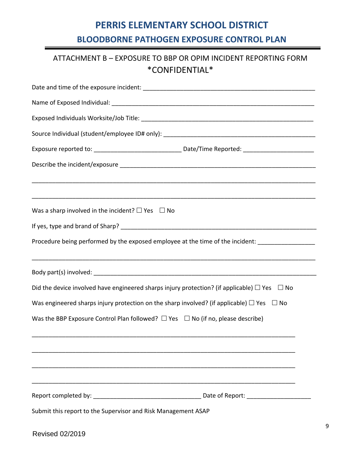## ATTACHMENT B – EXPOSURE TO BBP OR OPIM INCIDENT REPORTING FORM \*CONFIDENTIAL\*

| Was a sharp involved in the incident? $\Box$ Yes $\Box$ No                                             |  |  |  |  |  |  |  |
|--------------------------------------------------------------------------------------------------------|--|--|--|--|--|--|--|
|                                                                                                        |  |  |  |  |  |  |  |
| Procedure being performed by the exposed employee at the time of the incident: ___________________     |  |  |  |  |  |  |  |
|                                                                                                        |  |  |  |  |  |  |  |
| Did the device involved have engineered sharps injury protection? (if applicable) $\Box$ Yes $\Box$ No |  |  |  |  |  |  |  |
| Was engineered sharps injury protection on the sharp involved? (if applicable) $\Box$ Yes $\Box$ No    |  |  |  |  |  |  |  |
| Was the BBP Exposure Control Plan followed? $\Box$ Yes $\Box$ No (if no, please describe)              |  |  |  |  |  |  |  |
|                                                                                                        |  |  |  |  |  |  |  |
|                                                                                                        |  |  |  |  |  |  |  |
|                                                                                                        |  |  |  |  |  |  |  |
| Submit this report to the Supervisor and Risk Management ASAP                                          |  |  |  |  |  |  |  |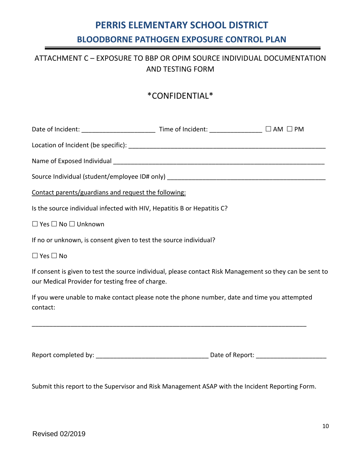## ATTACHMENT C – EXPOSURE TO BBP OR OPIM SOURCE INDIVIDUAL DOCUMENTATION AND TESTING FORM

## \*CONFIDENTIAL\*

| Contact parents/guardians and request the following:                                                                                                         |  |  |  |  |  |  |
|--------------------------------------------------------------------------------------------------------------------------------------------------------------|--|--|--|--|--|--|
| Is the source individual infected with HIV, Hepatitis B or Hepatitis C?                                                                                      |  |  |  |  |  |  |
| $\Box$ Yes $\Box$ No $\Box$ Unknown                                                                                                                          |  |  |  |  |  |  |
| If no or unknown, is consent given to test the source individual?                                                                                            |  |  |  |  |  |  |
| $\Box$ Yes $\Box$ No                                                                                                                                         |  |  |  |  |  |  |
| If consent is given to test the source individual, please contact Risk Management so they can be sent to<br>our Medical Provider for testing free of charge. |  |  |  |  |  |  |
| If you were unable to make contact please note the phone number, date and time you attempted<br>contact:                                                     |  |  |  |  |  |  |
|                                                                                                                                                              |  |  |  |  |  |  |
|                                                                                                                                                              |  |  |  |  |  |  |

Submit this report to the Supervisor and Risk Management ASAP with the Incident Reporting Form.